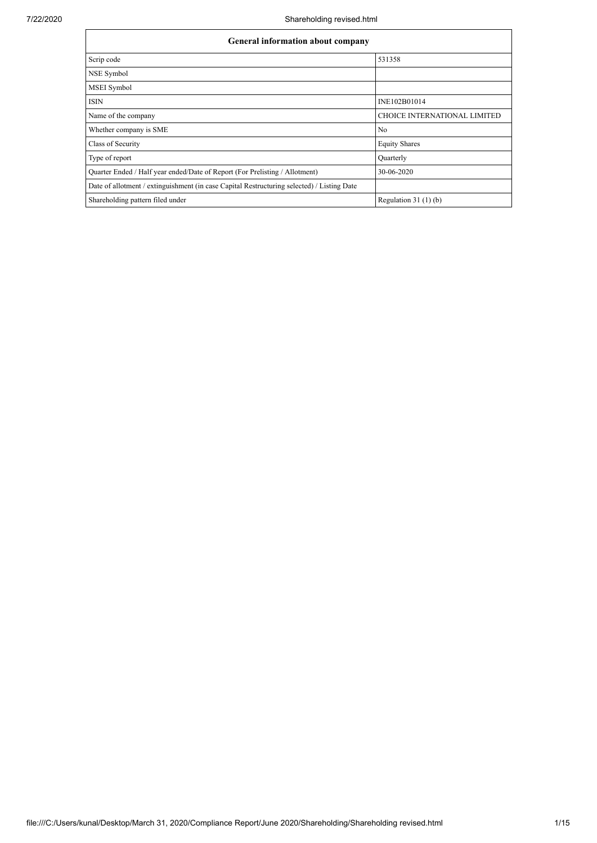| <b>General information about company</b>                                                   |                                     |  |  |  |  |  |  |  |
|--------------------------------------------------------------------------------------------|-------------------------------------|--|--|--|--|--|--|--|
| Scrip code                                                                                 | 531358                              |  |  |  |  |  |  |  |
| NSE Symbol                                                                                 |                                     |  |  |  |  |  |  |  |
| <b>MSEI</b> Symbol                                                                         |                                     |  |  |  |  |  |  |  |
| <b>ISIN</b>                                                                                | INE102B01014                        |  |  |  |  |  |  |  |
| Name of the company                                                                        | <b>CHOICE INTERNATIONAL LIMITED</b> |  |  |  |  |  |  |  |
| Whether company is SME                                                                     | N <sub>0</sub>                      |  |  |  |  |  |  |  |
| Class of Security                                                                          | <b>Equity Shares</b>                |  |  |  |  |  |  |  |
| Type of report                                                                             | Quarterly                           |  |  |  |  |  |  |  |
| Quarter Ended / Half year ended/Date of Report (For Prelisting / Allotment)                | 30-06-2020                          |  |  |  |  |  |  |  |
| Date of allotment / extinguishment (in case Capital Restructuring selected) / Listing Date |                                     |  |  |  |  |  |  |  |
| Shareholding pattern filed under                                                           | Regulation $31(1)(b)$               |  |  |  |  |  |  |  |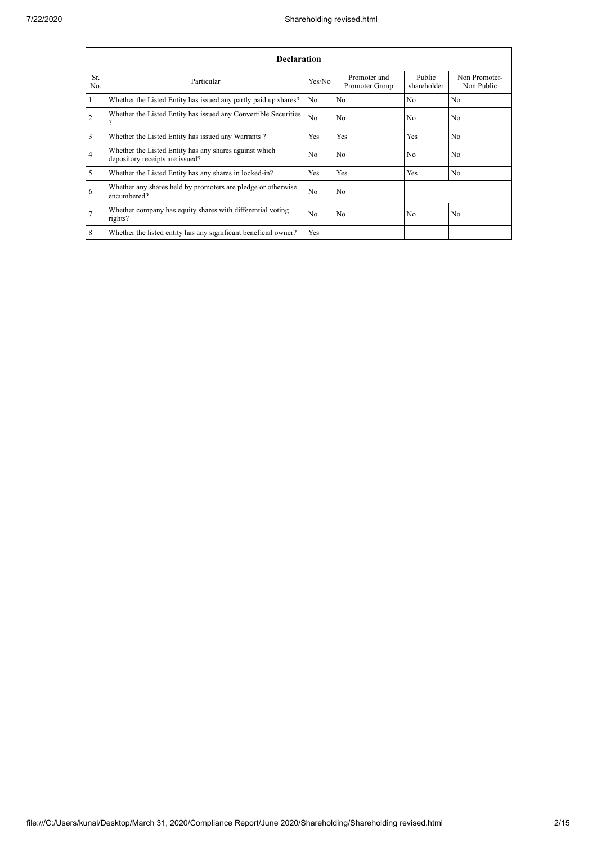|                | <b>Declaration</b>                                                                        |                |                                |                       |                             |  |  |  |  |  |  |  |
|----------------|-------------------------------------------------------------------------------------------|----------------|--------------------------------|-----------------------|-----------------------------|--|--|--|--|--|--|--|
| Sr.<br>No.     | Particular                                                                                | Yes/No         | Promoter and<br>Promoter Group | Public<br>shareholder | Non Promoter-<br>Non Public |  |  |  |  |  |  |  |
|                | Whether the Listed Entity has issued any partly paid up shares?                           | N <sub>0</sub> | N <sub>0</sub>                 | N <sub>0</sub>        | N <sub>0</sub>              |  |  |  |  |  |  |  |
| $\overline{2}$ | Whether the Listed Entity has issued any Convertible Securities                           | No             | N <sub>0</sub>                 | N <sub>0</sub>        | N <sub>0</sub>              |  |  |  |  |  |  |  |
| 3              | Whether the Listed Entity has issued any Warrants?                                        | Yes            | Yes                            | Yes                   | N <sub>0</sub>              |  |  |  |  |  |  |  |
| $\overline{4}$ | Whether the Listed Entity has any shares against which<br>depository receipts are issued? | N <sub>0</sub> | N <sub>o</sub>                 | N <sub>0</sub>        | N <sub>0</sub>              |  |  |  |  |  |  |  |
| 5              | Whether the Listed Entity has any shares in locked-in?                                    | Yes            | Yes                            | Yes                   | N <sub>0</sub>              |  |  |  |  |  |  |  |
| 6              | Whether any shares held by promoters are pledge or otherwise<br>encumbered?               | N <sub>0</sub> | N <sub>o</sub>                 |                       |                             |  |  |  |  |  |  |  |
| $\overline{7}$ | Whether company has equity shares with differential voting<br>rights?                     | N <sub>0</sub> | N <sub>0</sub>                 | N <sub>0</sub>        | N <sub>0</sub>              |  |  |  |  |  |  |  |
| 8              | Whether the listed entity has any significant beneficial owner?                           | Yes            |                                |                       |                             |  |  |  |  |  |  |  |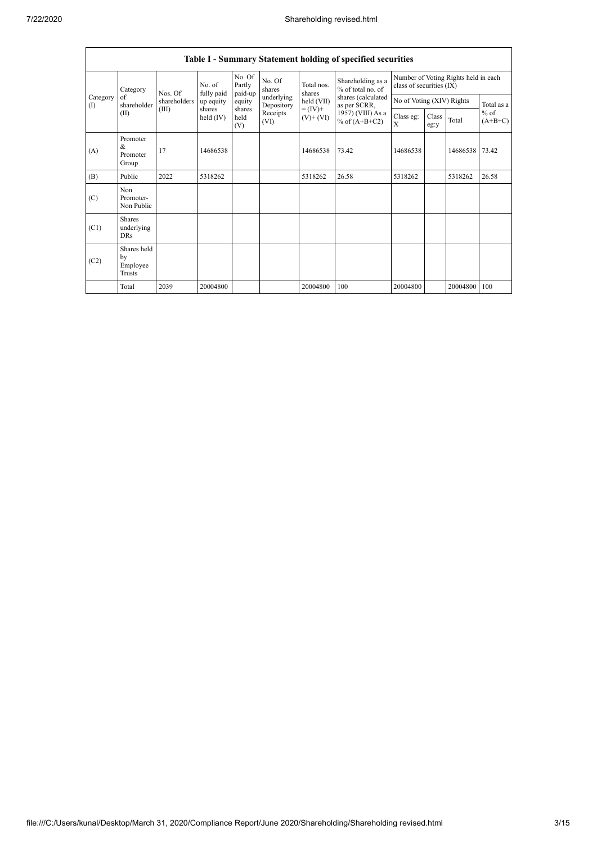|                          | Table I - Summary Statement holding of specified securities |              |                         |                       |                          |                              |                                        |                                                                  |               |          |                                   |  |  |
|--------------------------|-------------------------------------------------------------|--------------|-------------------------|-----------------------|--------------------------|------------------------------|----------------------------------------|------------------------------------------------------------------|---------------|----------|-----------------------------------|--|--|
|                          | Category                                                    | Nos. Of      | No. of                  | No. Of<br>Partly      | No. Of<br>shares         | Total nos.<br>shares         | Shareholding as a<br>% of total no. of | Number of Voting Rights held in each<br>class of securities (IX) |               |          |                                   |  |  |
| Category<br>$($ $\Gamma$ | of<br>shareholder                                           | shareholders | fully paid<br>up equity | paid-up<br>equity     | underlying<br>Depository | held (VII)                   | shares (calculated<br>as per SCRR,     | No of Voting (XIV) Rights                                        |               |          | Total as a<br>$%$ of<br>$(A+B+C)$ |  |  |
|                          | (II)                                                        | (III)        | shares<br>held $(IV)$   | shares<br>held<br>(V) | Receipts<br>(VI)         | $= (IV) +$<br>$(V)$ + $(VI)$ | 1957) (VIII) As a<br>% of $(A+B+C2)$   | Class eg:<br>X                                                   | Class<br>eg:y | Total    |                                   |  |  |
| (A)                      | Promoter<br>&<br>Promoter<br>Group                          | 17           | 14686538                |                       |                          | 14686538                     | 73.42                                  | 14686538                                                         |               | 14686538 | 73.42                             |  |  |
| (B)                      | Public                                                      | 2022         | 5318262                 |                       |                          | 5318262                      | 26.58                                  | 5318262                                                          |               | 5318262  | 26.58                             |  |  |
| (C)                      | Non<br>Promoter-<br>Non Public                              |              |                         |                       |                          |                              |                                        |                                                                  |               |          |                                   |  |  |
| (C1)                     | <b>Shares</b><br>underlying<br><b>DRs</b>                   |              |                         |                       |                          |                              |                                        |                                                                  |               |          |                                   |  |  |
| (C2)                     | Shares held<br>by<br>Employee<br>Trusts                     |              |                         |                       |                          |                              |                                        |                                                                  |               |          |                                   |  |  |
|                          | Total                                                       | 2039         | 20004800                |                       |                          | 20004800                     | 100                                    | 20004800                                                         |               | 20004800 | 100                               |  |  |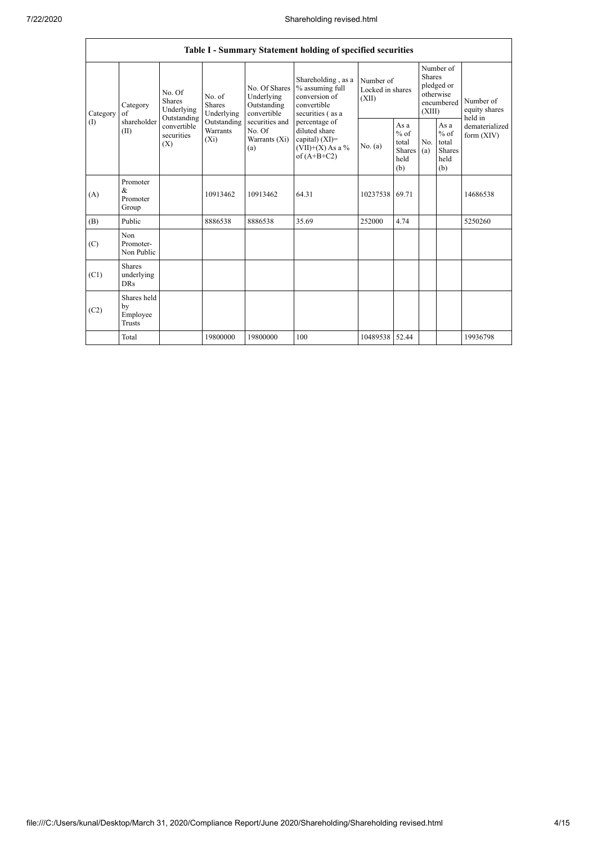|                 |                                           |                                                                                                                                |                         |                                                                                                               | Table I - Summary Statement holding of specified securities                                                                                                                             |                                        |                                                  |                                                                               |                                                         |                                       |
|-----------------|-------------------------------------------|--------------------------------------------------------------------------------------------------------------------------------|-------------------------|---------------------------------------------------------------------------------------------------------------|-----------------------------------------------------------------------------------------------------------------------------------------------------------------------------------------|----------------------------------------|--------------------------------------------------|-------------------------------------------------------------------------------|---------------------------------------------------------|---------------------------------------|
| Category<br>(I) | Category<br>of<br>shareholder<br>(II)     | No. Of<br>No. of<br><b>Shares</b><br><b>Shares</b><br>Underlying<br>Outstanding<br>convertible<br>securities<br>$(X_i)$<br>(X) | Underlying              | No. Of Shares<br>Underlying<br>Outstanding<br>convertible<br>securities and<br>No. Of<br>Warrants (Xi)<br>(a) | Shareholding, as a<br>% assuming full<br>conversion of<br>convertible<br>securities (as a<br>percentage of<br>diluted share<br>capital) $(XI)$ =<br>$(VII)+(X)$ As a %<br>of $(A+B+C2)$ | Number of<br>Locked in shares<br>(XII) |                                                  | Number of<br><b>Shares</b><br>pledged or<br>otherwise<br>encumbered<br>(XIII) |                                                         | Number of<br>equity shares<br>held in |
|                 |                                           |                                                                                                                                | Outstanding<br>Warrants |                                                                                                               |                                                                                                                                                                                         | No. (a)                                | As a<br>$%$ of<br>total<br>Shares<br>held<br>(b) | No.<br>(a)                                                                    | As a<br>$%$ of<br>total<br><b>Shares</b><br>held<br>(b) | dematerialized<br>form $(XIV)$        |
| (A)             | Promoter<br>&<br>Promoter<br>Group        |                                                                                                                                | 10913462                | 10913462                                                                                                      | 64.31                                                                                                                                                                                   | 10237538                               | 69.71                                            |                                                                               |                                                         | 14686538                              |
| (B)             | Public                                    |                                                                                                                                | 8886538                 | 8886538                                                                                                       | 35.69                                                                                                                                                                                   | 252000                                 | 4.74                                             |                                                                               |                                                         | 5250260                               |
| (C)             | Non<br>Promoter-<br>Non Public            |                                                                                                                                |                         |                                                                                                               |                                                                                                                                                                                         |                                        |                                                  |                                                                               |                                                         |                                       |
| (C1)            | <b>Shares</b><br>underlying<br><b>DRs</b> |                                                                                                                                |                         |                                                                                                               |                                                                                                                                                                                         |                                        |                                                  |                                                                               |                                                         |                                       |
| (C2)            | Shares held<br>by<br>Employee<br>Trusts   |                                                                                                                                |                         |                                                                                                               |                                                                                                                                                                                         |                                        |                                                  |                                                                               |                                                         |                                       |
|                 | Total                                     |                                                                                                                                | 19800000                | 19800000                                                                                                      | 100                                                                                                                                                                                     | 10489538                               | 52.44                                            |                                                                               |                                                         | 19936798                              |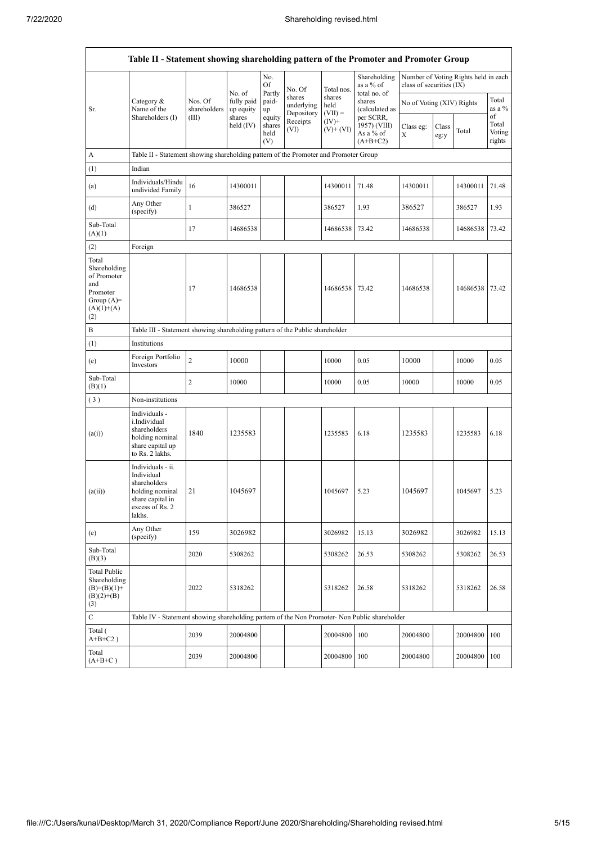|                                                                                                | Table II - Statement showing shareholding pattern of the Promoter and Promoter Group                                |                                                                              |                                                |                                 |                                    |                             |                                                      |                           |               |                                      |                           |  |  |
|------------------------------------------------------------------------------------------------|---------------------------------------------------------------------------------------------------------------------|------------------------------------------------------------------------------|------------------------------------------------|---------------------------------|------------------------------------|-----------------------------|------------------------------------------------------|---------------------------|---------------|--------------------------------------|---------------------------|--|--|
|                                                                                                |                                                                                                                     |                                                                              | No. of                                         | No.<br>Of                       | No. Of                             | Total nos.                  | Shareholding<br>as a % of                            | class of securities (IX)  |               | Number of Voting Rights held in each |                           |  |  |
| Sr.                                                                                            | Category $\&$<br>Name of the                                                                                        | Nos. Of<br>shareholders                                                      | fully paid<br>up equity<br>shares<br>held (IV) | Partly<br>paid-<br>up           | shares<br>underlying<br>Depository | shares<br>held<br>$(VII) =$ | total no. of<br>shares<br>(calculated as             | No of Voting (XIV) Rights |               |                                      | Total<br>as a %<br>of     |  |  |
|                                                                                                | Shareholders (I)                                                                                                    | (III)                                                                        |                                                | equity<br>shares<br>held<br>(V) | Receipts<br>(VI)                   | $(IV)^+$<br>$(V)$ + $(VI)$  | per SCRR,<br>1957) (VIII)<br>As a % of<br>$(A+B+C2)$ | Class eg:<br>X            | Class<br>eg:y | Total                                | Total<br>Voting<br>rights |  |  |
| A                                                                                              | Table II - Statement showing shareholding pattern of the Promoter and Promoter Group                                |                                                                              |                                                |                                 |                                    |                             |                                                      |                           |               |                                      |                           |  |  |
| (1)                                                                                            | Indian                                                                                                              |                                                                              |                                                |                                 |                                    |                             |                                                      |                           |               |                                      |                           |  |  |
| (a)                                                                                            | Individuals/Hindu<br>undivided Family                                                                               | 16                                                                           | 14300011                                       |                                 |                                    | 14300011                    | 71.48                                                | 14300011                  |               | 14300011                             | 71.48                     |  |  |
| (d)                                                                                            | Any Other<br>(specify)                                                                                              | $\mathbf{1}$                                                                 | 386527                                         |                                 |                                    | 386527                      | 1.93                                                 | 386527                    |               | 386527                               | 1.93                      |  |  |
| Sub-Total<br>(A)(1)                                                                            |                                                                                                                     | 17                                                                           | 14686538                                       |                                 |                                    | 14686538                    | 73.42                                                | 14686538                  |               | 14686538                             | 73.42                     |  |  |
| (2)                                                                                            | Foreign                                                                                                             |                                                                              |                                                |                                 |                                    |                             |                                                      |                           |               |                                      |                           |  |  |
| Total<br>Shareholding<br>of Promoter<br>and<br>Promoter<br>Group $(A)=$<br>$(A)(1)+(A)$<br>(2) |                                                                                                                     | 17                                                                           | 14686538                                       |                                 |                                    | 14686538                    | 73.42                                                | 14686538                  |               | 14686538                             | 73.42                     |  |  |
| B                                                                                              |                                                                                                                     | Table III - Statement showing shareholding pattern of the Public shareholder |                                                |                                 |                                    |                             |                                                      |                           |               |                                      |                           |  |  |
| (1)                                                                                            | Institutions                                                                                                        |                                                                              |                                                |                                 |                                    |                             |                                                      |                           |               |                                      |                           |  |  |
| (e)                                                                                            | Foreign Portfolio<br>Investors                                                                                      | $\sqrt{2}$                                                                   | 10000                                          |                                 |                                    | 10000                       | 0.05                                                 | 10000                     |               | 10000                                | 0.05                      |  |  |
| Sub-Total<br>(B)(1)                                                                            |                                                                                                                     | 2                                                                            | 10000                                          |                                 |                                    | 10000                       | 0.05                                                 | 10000                     |               | 10000                                | 0.05                      |  |  |
| (3)                                                                                            | Non-institutions                                                                                                    |                                                                              |                                                |                                 |                                    |                             |                                                      |                           |               |                                      |                           |  |  |
| (a(i))                                                                                         | Individuals -<br>i.Individual<br>shareholders<br>holding nominal<br>share capital up<br>to Rs. 2 lakhs.             | 1840                                                                         | 1235583                                        |                                 |                                    | 1235583                     | 6.18                                                 | 1235583                   |               | 1235583                              | 6.18                      |  |  |
| (a(ii))                                                                                        | Individuals - ii.<br>Individual<br>shareholders<br>holding nominal<br>share capital in<br>excess of Rs. 2<br>lakhs. | 21                                                                           | 1045697                                        |                                 |                                    | 1045697                     | 5.23                                                 | 1045697                   |               | 1045697                              | 5.23                      |  |  |
| (e)                                                                                            | Any Other<br>(specify)                                                                                              | 159                                                                          | 3026982                                        |                                 |                                    | 3026982                     | 15.13                                                | 3026982                   |               | 3026982                              | 15.13                     |  |  |
| Sub-Total<br>(B)(3)                                                                            |                                                                                                                     | 2020                                                                         | 5308262                                        |                                 |                                    | 5308262                     | 26.53                                                | 5308262                   |               | 5308262                              | 26.53                     |  |  |
| <b>Total Public</b><br>Shareholding<br>$(B)= (B)(1) +$<br>$(B)(2)+(B)$<br>(3)                  |                                                                                                                     | 2022                                                                         | 5318262                                        |                                 |                                    | 5318262                     | 26.58                                                | 5318262                   |               | 5318262                              | 26.58                     |  |  |
| $\mathbf C$                                                                                    | Table IV - Statement showing shareholding pattern of the Non Promoter- Non Public shareholder                       |                                                                              |                                                |                                 |                                    |                             |                                                      |                           |               |                                      |                           |  |  |
| Total (<br>$A+B+C2$ )                                                                          |                                                                                                                     | 2039                                                                         | 20004800                                       |                                 |                                    | 20004800                    | 100                                                  | 20004800                  |               | 20004800                             | 100                       |  |  |
| Total<br>$(A+B+C)$                                                                             |                                                                                                                     | 2039                                                                         | 20004800                                       |                                 |                                    | 20004800                    | 100                                                  | 20004800                  |               | 20004800                             | 100                       |  |  |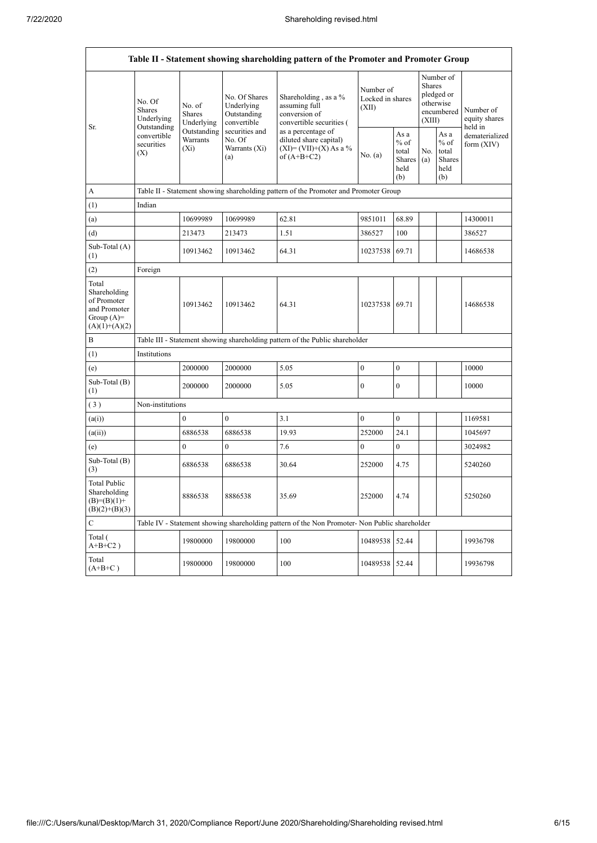| Table II - Statement showing shareholding pattern of the Promoter and Promoter Group    |                                                                                      |                                       |                                                           |                                                                                               |                                        |                                                         |                                                                               |                                                  |                                       |  |  |  |
|-----------------------------------------------------------------------------------------|--------------------------------------------------------------------------------------|---------------------------------------|-----------------------------------------------------------|-----------------------------------------------------------------------------------------------|----------------------------------------|---------------------------------------------------------|-------------------------------------------------------------------------------|--------------------------------------------------|---------------------------------------|--|--|--|
|                                                                                         | No. Of<br>Shares<br>Underlying                                                       | No. of<br><b>Shares</b><br>Underlying | No. Of Shares<br>Underlying<br>Outstanding<br>convertible | Shareholding, as a %<br>assuming full<br>conversion of<br>convertible securities (            | Number of<br>Locked in shares<br>(XII) |                                                         | Number of<br><b>Shares</b><br>pledged or<br>otherwise<br>encumbered<br>(XIII) |                                                  | Number of<br>equity shares<br>held in |  |  |  |
| Sr.                                                                                     | Outstanding<br>convertible<br>securities<br>(X)                                      | Outstanding<br>Warrants<br>$(X_i)$    | securities and<br>No. Of<br>Warrants (Xi)<br>(a)          | as a percentage of<br>diluted share capital)<br>$(XI) = (VII)+(X) As a %$<br>of $(A+B+C2)$    | No. (a)                                | As a<br>$%$ of<br>total<br><b>Shares</b><br>held<br>(b) | No.<br>(a)                                                                    | As a<br>$%$ of<br>total<br>Shares<br>held<br>(b) | dematerialized<br>form $(XIV)$        |  |  |  |
| A                                                                                       | Table II - Statement showing shareholding pattern of the Promoter and Promoter Group |                                       |                                                           |                                                                                               |                                        |                                                         |                                                                               |                                                  |                                       |  |  |  |
| (1)                                                                                     | Indian                                                                               |                                       |                                                           |                                                                                               |                                        |                                                         |                                                                               |                                                  |                                       |  |  |  |
| (a)                                                                                     |                                                                                      | 10699989                              | 10699989                                                  | 62.81                                                                                         | 9851011                                | 68.89                                                   |                                                                               |                                                  | 14300011                              |  |  |  |
| (d)                                                                                     |                                                                                      | 213473                                | 213473                                                    | 1.51                                                                                          | 386527                                 | 100                                                     |                                                                               |                                                  | 386527                                |  |  |  |
| Sub-Total (A)<br>(1)                                                                    |                                                                                      | 10913462                              | 10913462                                                  | 64.31                                                                                         | 10237538                               | 69.71                                                   |                                                                               |                                                  | 14686538                              |  |  |  |
| (2)                                                                                     | Foreign                                                                              |                                       |                                                           |                                                                                               |                                        |                                                         |                                                                               |                                                  |                                       |  |  |  |
| Total<br>Shareholding<br>of Promoter<br>and Promoter<br>Group $(A)=$<br>$(A)(1)+(A)(2)$ |                                                                                      | 10913462                              | 10913462                                                  | 64.31                                                                                         | 10237538                               | 69.71                                                   |                                                                               |                                                  | 14686538                              |  |  |  |
| B                                                                                       |                                                                                      |                                       |                                                           | Table III - Statement showing shareholding pattern of the Public shareholder                  |                                        |                                                         |                                                                               |                                                  |                                       |  |  |  |
| (1)                                                                                     | Institutions                                                                         |                                       |                                                           |                                                                                               |                                        |                                                         |                                                                               |                                                  |                                       |  |  |  |
| (e)                                                                                     |                                                                                      | 2000000                               | 2000000                                                   | 5.05                                                                                          | $\mathbf{0}$                           | $\mathbf{0}$                                            |                                                                               |                                                  | 10000                                 |  |  |  |
| Sub-Total (B)<br>(1)                                                                    |                                                                                      | 2000000                               | 2000000                                                   | 5.05                                                                                          | $\mathbf{0}$                           | $\mathbf{0}$                                            |                                                                               |                                                  | 10000                                 |  |  |  |
| (3)                                                                                     | Non-institutions                                                                     |                                       |                                                           |                                                                                               |                                        |                                                         |                                                                               |                                                  |                                       |  |  |  |
| (a(i))                                                                                  |                                                                                      | $\theta$                              | $\overline{0}$                                            | 3.1                                                                                           | $\mathbf{0}$                           | $\mathbf{0}$                                            |                                                                               |                                                  | 1169581                               |  |  |  |
| (a(ii))                                                                                 |                                                                                      | 6886538                               | 6886538                                                   | 19.93                                                                                         | 252000                                 | 24.1                                                    |                                                                               |                                                  | 1045697                               |  |  |  |
| (e)                                                                                     |                                                                                      | $\mathbf{0}$                          | $\overline{0}$                                            | 7.6                                                                                           | $\boldsymbol{0}$                       | $\mathbf{0}$                                            |                                                                               |                                                  | 3024982                               |  |  |  |
| Sub-Total (B)<br>(3)                                                                    |                                                                                      | 6886538                               | 6886538                                                   | 30.64                                                                                         | 252000                                 | 4.75                                                    |                                                                               |                                                  | 5240260                               |  |  |  |
| <b>Total Public</b><br>Shareholding<br>$(B)=(B)(1)+$<br>$(B)(2)+(B)(3)$                 |                                                                                      | 8886538                               | 8886538                                                   | 35.69                                                                                         | 252000                                 | 4.74                                                    |                                                                               |                                                  | 5250260                               |  |  |  |
| $\mathsf{C}$                                                                            |                                                                                      |                                       |                                                           | Table IV - Statement showing shareholding pattern of the Non Promoter- Non Public shareholder |                                        |                                                         |                                                                               |                                                  |                                       |  |  |  |
| Total (<br>$A+B+C2$ )                                                                   |                                                                                      | 19800000                              | 19800000                                                  | 100                                                                                           | 10489538                               | 52.44                                                   |                                                                               |                                                  | 19936798                              |  |  |  |
| Total<br>$(A+B+C)$                                                                      |                                                                                      | 19800000                              | 19800000                                                  | 100                                                                                           | 10489538                               | 52.44                                                   |                                                                               |                                                  | 19936798                              |  |  |  |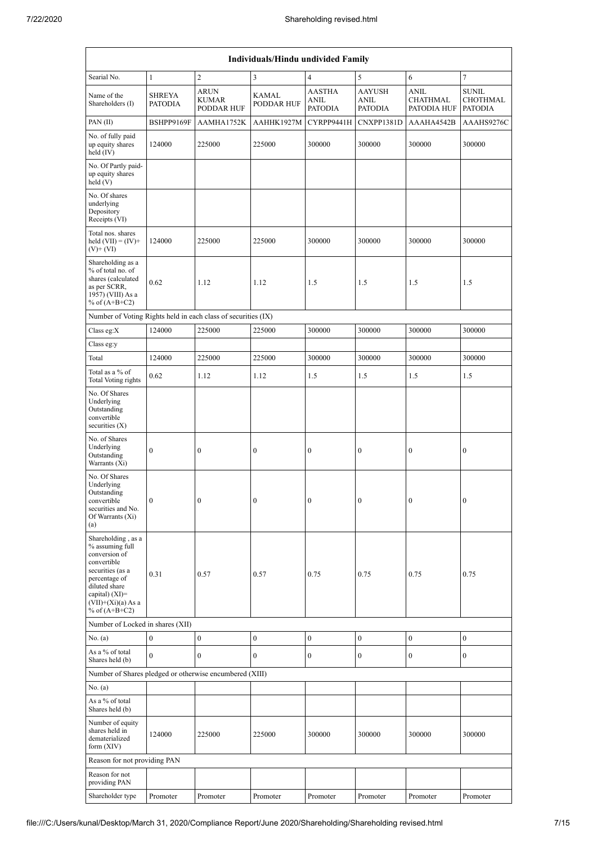| Individuals/Hindu undivided Family                                                                                                                                                       |                          |                                                  |                            |                                         |                                                |                                        |                                                   |  |  |  |  |
|------------------------------------------------------------------------------------------------------------------------------------------------------------------------------------------|--------------------------|--------------------------------------------------|----------------------------|-----------------------------------------|------------------------------------------------|----------------------------------------|---------------------------------------------------|--|--|--|--|
| Searial No.                                                                                                                                                                              | $\mathbf{1}$             | $\overline{2}$                                   | $\overline{\mathbf{3}}$    | $\overline{4}$                          | 5                                              | 6                                      | $\overline{7}$                                    |  |  |  |  |
| Name of the<br>Shareholders (I)                                                                                                                                                          | SHREYA<br><b>PATODIA</b> | <b>ARUN</b><br><b>KUMAR</b><br><b>PODDAR HUF</b> | <b>KAMAL</b><br>PODDAR HUF | <b>AASTHA</b><br>ANIL<br><b>PATODIA</b> | <b>AAYUSH</b><br><b>ANIL</b><br><b>PATODIA</b> | ANIL<br><b>CHATHMAL</b><br>PATODIA HUF | <b>SUNIL</b><br><b>CHOTHMAL</b><br><b>PATODIA</b> |  |  |  |  |
| PAN(II)                                                                                                                                                                                  | BSHPP9169F               | AAMHA1752K                                       | AAHHK1927M                 | CYRPP9441H                              | CNXPP1381D                                     | AAAHA4542B                             | AAAHS9276C                                        |  |  |  |  |
| No. of fully paid<br>up equity shares<br>held $(IV)$                                                                                                                                     | 124000                   | 225000                                           | 225000                     | 300000                                  | 300000                                         | 300000                                 | 300000                                            |  |  |  |  |
| No. Of Partly paid-<br>up equity shares<br>held (V)                                                                                                                                      |                          |                                                  |                            |                                         |                                                |                                        |                                                   |  |  |  |  |
| No. Of shares<br>underlying<br>Depository<br>Receipts (VI)                                                                                                                               |                          |                                                  |                            |                                         |                                                |                                        |                                                   |  |  |  |  |
| Total nos. shares<br>held $(VII) = (IV) +$<br>$(V)+(VI)$                                                                                                                                 | 124000                   | 225000                                           | 225000                     | 300000                                  | 300000                                         | 300000                                 | 300000                                            |  |  |  |  |
| Shareholding as a<br>% of total no. of<br>shares (calculated<br>as per SCRR,<br>1957) (VIII) As a<br>% of $(A+B+C2)$                                                                     | 0.62                     | 1.12                                             | 1.12                       | 1.5                                     | 1.5                                            | 1.5                                    | 1.5                                               |  |  |  |  |
| Number of Voting Rights held in each class of securities (IX)                                                                                                                            |                          |                                                  |                            |                                         |                                                |                                        |                                                   |  |  |  |  |
| Class eg: $X$                                                                                                                                                                            | 124000                   | 225000                                           | 225000                     | 300000                                  | 300000                                         | 300000                                 | 300000                                            |  |  |  |  |
| Class eg:y                                                                                                                                                                               |                          |                                                  |                            |                                         |                                                |                                        |                                                   |  |  |  |  |
| Total                                                                                                                                                                                    | 124000                   | 225000                                           | 225000                     | 300000                                  | 300000                                         | 300000                                 | 300000                                            |  |  |  |  |
| Total as a % of<br><b>Total Voting rights</b>                                                                                                                                            | 0.62                     | 1.12                                             | 1.12                       | 1.5                                     | 1.5                                            | 1.5                                    | 1.5                                               |  |  |  |  |
| No. Of Shares<br>Underlying<br>Outstanding<br>convertible<br>securities $(X)$                                                                                                            |                          |                                                  |                            |                                         |                                                |                                        |                                                   |  |  |  |  |
| No. of Shares<br>Underlying<br>Outstanding<br>Warrants (Xi)                                                                                                                              | $\boldsymbol{0}$         | $\boldsymbol{0}$                                 | $\boldsymbol{0}$           | $\boldsymbol{0}$                        | $\boldsymbol{0}$                               | $\boldsymbol{0}$                       | $\boldsymbol{0}$                                  |  |  |  |  |
| No. Of Shares<br>Underlying<br>Outstanding<br>convertible<br>securities and No.<br>Of Warrants (Xi)<br>(a)                                                                               | $\boldsymbol{0}$         | $\boldsymbol{0}$                                 | $\boldsymbol{0}$           | $\boldsymbol{0}$                        | $\boldsymbol{0}$                               | $\boldsymbol{0}$                       | $\boldsymbol{0}$                                  |  |  |  |  |
| Shareholding, as a<br>% assuming full<br>conversion of<br>convertible<br>securities (as a<br>percentage of<br>diluted share<br>capital) (XI)=<br>$(VII)+(Xi)(a)$ As a<br>% of $(A+B+C2)$ | 0.31                     | 0.57                                             | 0.57                       | 0.75                                    | 0.75                                           | 0.75                                   | 0.75                                              |  |  |  |  |
| Number of Locked in shares (XII)                                                                                                                                                         |                          |                                                  |                            |                                         |                                                |                                        |                                                   |  |  |  |  |
| No. (a)<br>As a % of total                                                                                                                                                               | $\boldsymbol{0}$         | $\boldsymbol{0}$                                 | $\boldsymbol{0}$           | $\boldsymbol{0}$                        | $\boldsymbol{0}$                               | $\boldsymbol{0}$                       | $\boldsymbol{0}$                                  |  |  |  |  |
| Shares held (b)                                                                                                                                                                          | $\theta$                 | $\mathbf{0}$                                     | $\boldsymbol{0}$           | $\boldsymbol{0}$                        | $\boldsymbol{0}$                               | $\boldsymbol{0}$                       | $\boldsymbol{0}$                                  |  |  |  |  |
| Number of Shares pledged or otherwise encumbered (XIII)                                                                                                                                  |                          |                                                  |                            |                                         |                                                |                                        |                                                   |  |  |  |  |
| No. $(a)$<br>As a % of total                                                                                                                                                             |                          |                                                  |                            |                                         |                                                |                                        |                                                   |  |  |  |  |
| Shares held (b)<br>Number of equity<br>shares held in<br>dematerialized<br>form $(XIV)$                                                                                                  | 124000                   | 225000                                           | 225000                     | 300000                                  | 300000                                         | 300000                                 | 300000                                            |  |  |  |  |
| Reason for not providing PAN                                                                                                                                                             |                          |                                                  |                            |                                         |                                                |                                        |                                                   |  |  |  |  |
| Reason for not<br>providing PAN                                                                                                                                                          |                          |                                                  |                            |                                         |                                                |                                        |                                                   |  |  |  |  |
| Shareholder type                                                                                                                                                                         | Promoter                 | Promoter                                         | Promoter                   | Promoter                                | Promoter                                       | Promoter                               | Promoter                                          |  |  |  |  |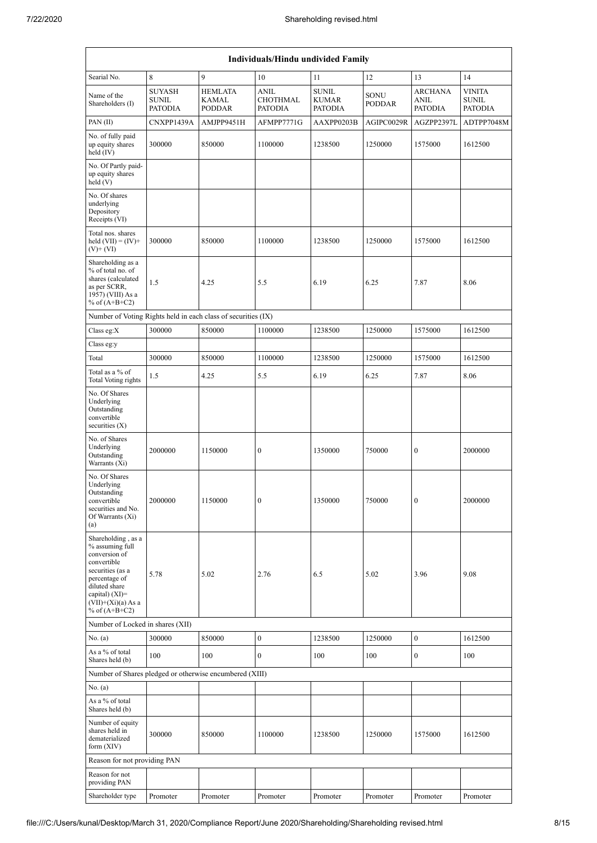| Individuals/Hindu undivided Family                                                                                                                                                         |                                                 |                                          |                                                  |                                         |                       |                                          |                                          |  |  |  |  |
|--------------------------------------------------------------------------------------------------------------------------------------------------------------------------------------------|-------------------------------------------------|------------------------------------------|--------------------------------------------------|-----------------------------------------|-----------------------|------------------------------------------|------------------------------------------|--|--|--|--|
| Searial No.                                                                                                                                                                                | 8                                               | 9                                        | 10                                               | 11                                      | 12                    | 13                                       | 14                                       |  |  |  |  |
| Name of the<br>Shareholders (I)                                                                                                                                                            | <b>SUYASH</b><br><b>SUNIL</b><br><b>PATODIA</b> | <b>HEMLATA</b><br>KAMAL<br><b>PODDAR</b> | <b>ANIL</b><br><b>CHOTHMAL</b><br><b>PATODIA</b> | <b>SUNIL</b><br>KUMAR<br><b>PATODIA</b> | SONU<br><b>PODDAR</b> | <b>ARCHANA</b><br>ANIL<br><b>PATODIA</b> | <b>VINITA</b><br>SUNIL<br><b>PATODIA</b> |  |  |  |  |
| PAN(II)                                                                                                                                                                                    | CNXPP1439A                                      | AMJPP9451H                               | AFMPP7771G                                       | AAXPP0203B                              | AGIPC0029R            | AGZPP2397L                               | ADTPP7048M                               |  |  |  |  |
| No. of fully paid<br>up equity shares<br>held $(IV)$                                                                                                                                       | 300000                                          | 850000                                   | 1100000                                          | 1238500                                 | 1250000               | 1575000                                  | 1612500                                  |  |  |  |  |
| No. Of Partly paid-<br>up equity shares<br>held $(V)$                                                                                                                                      |                                                 |                                          |                                                  |                                         |                       |                                          |                                          |  |  |  |  |
| No. Of shares<br>underlying<br>Depository<br>Receipts (VI)                                                                                                                                 |                                                 |                                          |                                                  |                                         |                       |                                          |                                          |  |  |  |  |
| Total nos. shares<br>held $(VII) = (IV) +$<br>$(V)+(VI)$                                                                                                                                   | 300000                                          | 850000                                   | 1100000                                          | 1238500                                 | 1250000               | 1575000                                  | 1612500                                  |  |  |  |  |
| Shareholding as a<br>% of total no. of<br>shares (calculated<br>as per SCRR,<br>1957) (VIII) As a<br>% of $(A+B+C2)$                                                                       | 1.5                                             | 4.25                                     | 5.5                                              | 6.19                                    | 6.25                  | 7.87                                     | 8.06                                     |  |  |  |  |
| Number of Voting Rights held in each class of securities (IX)                                                                                                                              |                                                 |                                          |                                                  |                                         |                       |                                          |                                          |  |  |  |  |
| Class eg: $X$                                                                                                                                                                              | 300000                                          | 850000                                   | 1100000                                          | 1238500                                 | 1250000               | 1575000                                  | 1612500                                  |  |  |  |  |
| Class eg:y                                                                                                                                                                                 |                                                 |                                          |                                                  |                                         |                       |                                          |                                          |  |  |  |  |
| Total                                                                                                                                                                                      | 300000                                          | 850000                                   | 1100000                                          | 1238500                                 | 1250000               | 1575000                                  | 1612500                                  |  |  |  |  |
| Total as a % of<br>Total Voting rights<br>No. Of Shares                                                                                                                                    | 1.5                                             | 4.25                                     | 5.5                                              | 6.19                                    | 6.25                  | 7.87                                     | 8.06                                     |  |  |  |  |
| Underlying<br>Outstanding<br>convertible<br>securities $(X)$                                                                                                                               |                                                 |                                          |                                                  |                                         |                       |                                          |                                          |  |  |  |  |
| No. of Shares<br>Underlying<br>Outstanding<br>Warrants (Xi)                                                                                                                                | 2000000                                         | 1150000                                  | $\boldsymbol{0}$                                 | 1350000                                 | 750000                | $\boldsymbol{0}$                         | 2000000                                  |  |  |  |  |
| No. Of Shares<br>Underlying<br>Outstanding<br>convertible<br>securities and No.<br>Of Warrants (Xi)<br>(a)                                                                                 | 2000000                                         | 1150000                                  | $\boldsymbol{0}$                                 | 1350000                                 | 750000                | $\boldsymbol{0}$                         | 2000000                                  |  |  |  |  |
| Shareholding, as a<br>% assuming full<br>conversion of<br>convertible<br>securities (as a<br>percentage of<br>diluted share<br>capital) $(XI)=$<br>$(VII)+(Xi)(a) As a$<br>% of $(A+B+C2)$ | 5.78                                            | 5.02                                     | 2.76                                             | 6.5                                     | 5.02                  | 3.96                                     | 9.08                                     |  |  |  |  |
| Number of Locked in shares (XII)                                                                                                                                                           |                                                 |                                          |                                                  |                                         |                       |                                          |                                          |  |  |  |  |
| No. $(a)$                                                                                                                                                                                  | 300000                                          | 850000                                   | $\boldsymbol{0}$                                 | 1238500                                 | 1250000               | $\boldsymbol{0}$                         | 1612500                                  |  |  |  |  |
| As a % of total<br>Shares held (b)<br>Number of Shares pledged or otherwise encumbered (XIII)                                                                                              | 100                                             | 100                                      | $\mathbf{0}$                                     | 100                                     | 100                   | $\mathbf{0}$                             | 100                                      |  |  |  |  |
| No. $(a)$                                                                                                                                                                                  |                                                 |                                          |                                                  |                                         |                       |                                          |                                          |  |  |  |  |
| As a % of total<br>Shares held (b)                                                                                                                                                         |                                                 |                                          |                                                  |                                         |                       |                                          |                                          |  |  |  |  |
| Number of equity<br>shares held in<br>dematerialized<br>form $(XIV)$                                                                                                                       | 300000                                          | 850000                                   | 1100000                                          | 1238500                                 | 1250000               | 1575000                                  | 1612500                                  |  |  |  |  |
| Reason for not providing PAN                                                                                                                                                               |                                                 |                                          |                                                  |                                         |                       |                                          |                                          |  |  |  |  |
| Reason for not<br>providing PAN                                                                                                                                                            |                                                 |                                          |                                                  |                                         |                       |                                          |                                          |  |  |  |  |
| Shareholder type                                                                                                                                                                           | Promoter                                        | Promoter                                 | Promoter                                         | Promoter                                | Promoter              | Promoter                                 | Promoter                                 |  |  |  |  |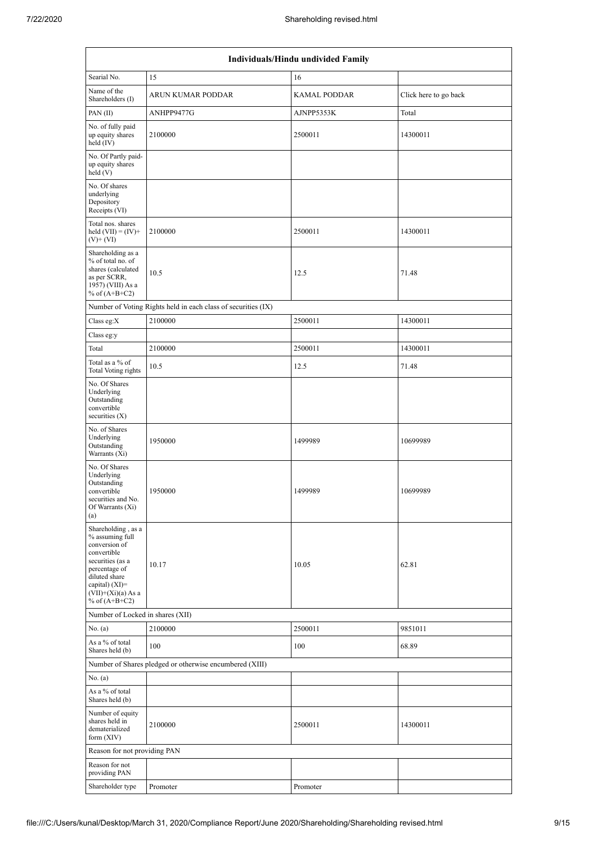| Individuals/Hindu undivided Family                                                                                                                                                       |                                                               |                     |                       |  |  |  |  |  |  |  |
|------------------------------------------------------------------------------------------------------------------------------------------------------------------------------------------|---------------------------------------------------------------|---------------------|-----------------------|--|--|--|--|--|--|--|
| Searial No.                                                                                                                                                                              | 15                                                            | 16                  |                       |  |  |  |  |  |  |  |
| Name of the<br>Shareholders (I)                                                                                                                                                          | ARUN KUMAR PODDAR                                             | <b>KAMAL PODDAR</b> | Click here to go back |  |  |  |  |  |  |  |
| PAN(II)                                                                                                                                                                                  | ANHPP9477G                                                    | AJNPP5353K          | Total                 |  |  |  |  |  |  |  |
| No. of fully paid<br>up equity shares<br>held $(IV)$                                                                                                                                     | 2100000                                                       | 2500011             | 14300011              |  |  |  |  |  |  |  |
| No. Of Partly paid-<br>up equity shares<br>held (V)                                                                                                                                      |                                                               |                     |                       |  |  |  |  |  |  |  |
| No. Of shares<br>underlying<br>Depository<br>Receipts (VI)                                                                                                                               |                                                               |                     |                       |  |  |  |  |  |  |  |
| Total nos. shares<br>held $(VII) = (IV) +$<br>$(V)$ + $(VI)$                                                                                                                             | 2100000                                                       | 2500011             | 14300011              |  |  |  |  |  |  |  |
| Shareholding as a<br>% of total no. of<br>shares (calculated<br>as per SCRR,<br>1957) (VIII) As a<br>% of $(A+B+C2)$                                                                     | 10.5                                                          | 12.5                | 71.48                 |  |  |  |  |  |  |  |
|                                                                                                                                                                                          | Number of Voting Rights held in each class of securities (IX) |                     |                       |  |  |  |  |  |  |  |
| Class eg: $X$                                                                                                                                                                            | 2100000                                                       | 2500011             | 14300011              |  |  |  |  |  |  |  |
| Class eg:y                                                                                                                                                                               |                                                               |                     |                       |  |  |  |  |  |  |  |
| Total                                                                                                                                                                                    | 2100000                                                       | 2500011             | 14300011              |  |  |  |  |  |  |  |
| Total as a % of<br><b>Total Voting rights</b>                                                                                                                                            | 10.5                                                          | 12.5                | 71.48                 |  |  |  |  |  |  |  |
| No. Of Shares<br>Underlying<br>Outstanding<br>convertible<br>securities $(X)$                                                                                                            |                                                               |                     |                       |  |  |  |  |  |  |  |
| No. of Shares<br>Underlying<br>Outstanding<br>Warrants (Xi)                                                                                                                              | 1950000                                                       | 1499989             | 10699989              |  |  |  |  |  |  |  |
| No. Of Shares<br>Underlying<br>Outstanding<br>convertible<br>securities and No.<br>Of Warrants (Xi)<br>(a)                                                                               | 1950000                                                       | 1499989             | 10699989              |  |  |  |  |  |  |  |
| Shareholding, as a<br>% assuming full<br>conversion of<br>convertible<br>securities (as a<br>percentage of<br>diluted share<br>capital) (XI)=<br>$(VII)+(Xi)(a)$ As a<br>% of $(A+B+C2)$ | 10.17                                                         | 10.05               | 62.81                 |  |  |  |  |  |  |  |
| Number of Locked in shares (XII)                                                                                                                                                         |                                                               |                     |                       |  |  |  |  |  |  |  |
| No. (a)                                                                                                                                                                                  | 2100000                                                       | 2500011             | 9851011               |  |  |  |  |  |  |  |
| As a % of total<br>Shares held (b)                                                                                                                                                       | 100                                                           | 100                 | 68.89                 |  |  |  |  |  |  |  |
| No. (a)                                                                                                                                                                                  | Number of Shares pledged or otherwise encumbered (XIII)       |                     |                       |  |  |  |  |  |  |  |
| As a % of total<br>Shares held (b)                                                                                                                                                       |                                                               |                     |                       |  |  |  |  |  |  |  |
| Number of equity<br>shares held in<br>dematerialized<br>form $(XIV)$                                                                                                                     | 2100000                                                       | 2500011             | 14300011              |  |  |  |  |  |  |  |
| Reason for not providing PAN                                                                                                                                                             |                                                               |                     |                       |  |  |  |  |  |  |  |
| Reason for not<br>providing PAN                                                                                                                                                          |                                                               |                     |                       |  |  |  |  |  |  |  |
| Shareholder type                                                                                                                                                                         | Promoter                                                      | Promoter            |                       |  |  |  |  |  |  |  |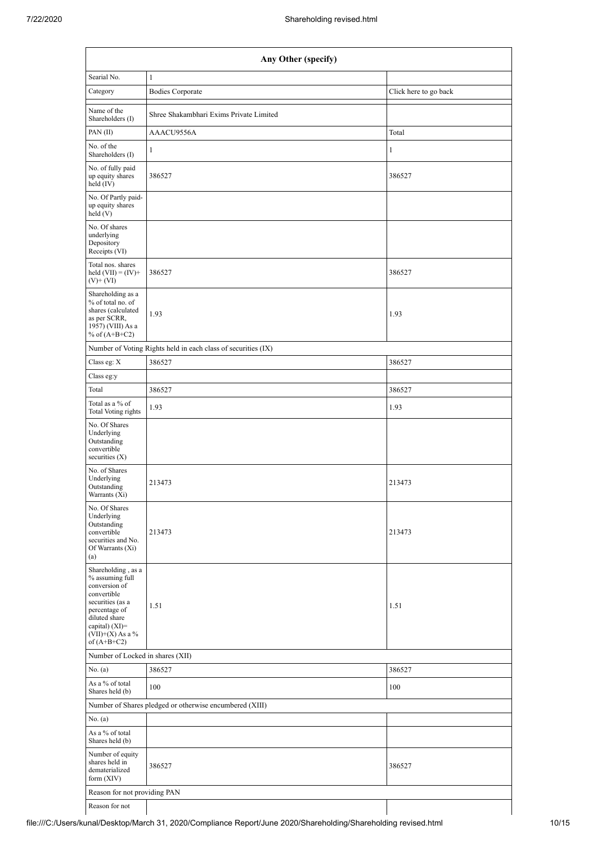| Any Other (specify)                                                                                                                                                                    |                                                               |                       |  |  |  |  |  |  |  |  |
|----------------------------------------------------------------------------------------------------------------------------------------------------------------------------------------|---------------------------------------------------------------|-----------------------|--|--|--|--|--|--|--|--|
| Searial No.                                                                                                                                                                            | $\mathbf{1}$                                                  |                       |  |  |  |  |  |  |  |  |
| Category                                                                                                                                                                               | <b>Bodies Corporate</b>                                       | Click here to go back |  |  |  |  |  |  |  |  |
| Name of the<br>Shareholders (I)                                                                                                                                                        | Shree Shakambhari Exims Private Limited                       |                       |  |  |  |  |  |  |  |  |
| PAN(II)                                                                                                                                                                                | AAACU9556A                                                    | Total                 |  |  |  |  |  |  |  |  |
| No. of the<br>Shareholders (I)                                                                                                                                                         | $\mathbf{1}$                                                  | 1                     |  |  |  |  |  |  |  |  |
| No. of fully paid<br>up equity shares<br>held (IV)                                                                                                                                     | 386527                                                        | 386527                |  |  |  |  |  |  |  |  |
| No. Of Partly paid-<br>up equity shares<br>held(V)                                                                                                                                     |                                                               |                       |  |  |  |  |  |  |  |  |
| No. Of shares<br>underlying<br>Depository<br>Receipts (VI)                                                                                                                             |                                                               |                       |  |  |  |  |  |  |  |  |
| Total nos. shares<br>held $(VII) = (IV) +$<br>$(V)$ + $(VI)$                                                                                                                           | 386527                                                        | 386527                |  |  |  |  |  |  |  |  |
| Shareholding as a<br>% of total no. of<br>shares (calculated<br>as per SCRR,<br>1957) (VIII) As a<br>% of $(A+B+C2)$                                                                   | 1.93                                                          | 1.93                  |  |  |  |  |  |  |  |  |
|                                                                                                                                                                                        | Number of Voting Rights held in each class of securities (IX) |                       |  |  |  |  |  |  |  |  |
| Class eg: X                                                                                                                                                                            | 386527                                                        | 386527                |  |  |  |  |  |  |  |  |
| Class eg:y                                                                                                                                                                             |                                                               |                       |  |  |  |  |  |  |  |  |
| Total                                                                                                                                                                                  | 386527                                                        | 386527                |  |  |  |  |  |  |  |  |
| Total as a % of<br><b>Total Voting rights</b>                                                                                                                                          | 1.93                                                          | 1.93                  |  |  |  |  |  |  |  |  |
| No. Of Shares<br>Underlying<br>Outstanding<br>convertible<br>securities $(X)$                                                                                                          |                                                               |                       |  |  |  |  |  |  |  |  |
| No. of Shares<br>Underlying<br>Outstanding<br>Warrants (Xi)                                                                                                                            | 213473                                                        | 213473                |  |  |  |  |  |  |  |  |
| No. Of Shares<br>Underlying<br>Outstanding<br>convertible<br>securities and No.<br>Of Warrants (Xi)<br>(a)                                                                             | 213473                                                        | 213473                |  |  |  |  |  |  |  |  |
| Shareholding, as a<br>% assuming full<br>conversion of<br>convertible<br>securities (as a<br>percentage of<br>diluted share<br>capital) $(XI)=$<br>$(VII)+(X)$ As a %<br>of $(A+B+C2)$ | 1.51                                                          | 1.51                  |  |  |  |  |  |  |  |  |
| Number of Locked in shares (XII)                                                                                                                                                       |                                                               |                       |  |  |  |  |  |  |  |  |
| No. (a)                                                                                                                                                                                | 386527                                                        | 386527                |  |  |  |  |  |  |  |  |
| As a % of total<br>Shares held (b)                                                                                                                                                     | 100                                                           | 100                   |  |  |  |  |  |  |  |  |
|                                                                                                                                                                                        | Number of Shares pledged or otherwise encumbered (XIII)       |                       |  |  |  |  |  |  |  |  |
| No. (a)<br>As a % of total                                                                                                                                                             |                                                               |                       |  |  |  |  |  |  |  |  |
| Shares held (b)                                                                                                                                                                        |                                                               |                       |  |  |  |  |  |  |  |  |
| Number of equity<br>shares held in<br>dematerialized<br>form $(XIV)$                                                                                                                   | 386527                                                        | 386527                |  |  |  |  |  |  |  |  |
| Reason for not providing PAN                                                                                                                                                           |                                                               |                       |  |  |  |  |  |  |  |  |
| Reason for not                                                                                                                                                                         |                                                               |                       |  |  |  |  |  |  |  |  |

file:///C:/Users/kunal/Desktop/March 31, 2020/Compliance Report/June 2020/Shareholding/Shareholding revised.html 10/15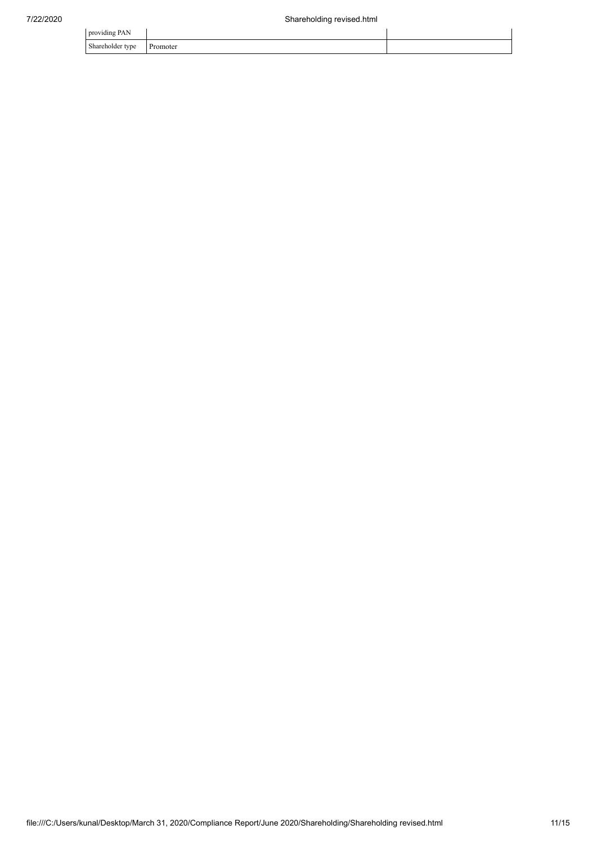| providing PAN    |          |  |
|------------------|----------|--|
| Shareholder type | Promoter |  |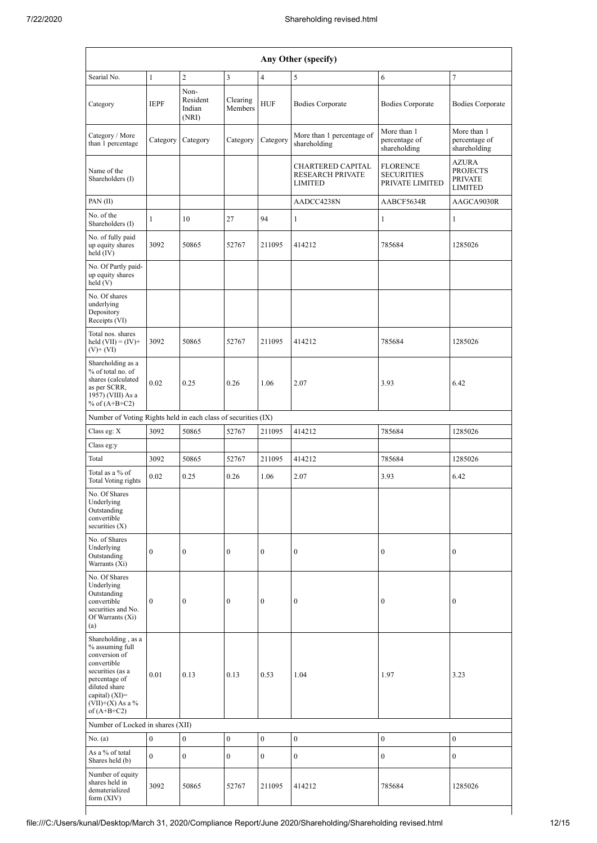| Any Other (specify)                                                                                                                                                                  |                  |                                     |                     |                  |                                                                       |                                                         |                                                                     |  |  |  |  |
|--------------------------------------------------------------------------------------------------------------------------------------------------------------------------------------|------------------|-------------------------------------|---------------------|------------------|-----------------------------------------------------------------------|---------------------------------------------------------|---------------------------------------------------------------------|--|--|--|--|
| Searial No.                                                                                                                                                                          | $\mathbf{1}$     | $\overline{c}$                      | 3                   | $\overline{4}$   | 5                                                                     | 6                                                       | $\tau$                                                              |  |  |  |  |
| Category                                                                                                                                                                             | <b>IEPF</b>      | Non-<br>Resident<br>Indian<br>(NRI) | Clearing<br>Members | <b>HUF</b>       | <b>Bodies Corporate</b>                                               | <b>Bodies Corporate</b>                                 | <b>Bodies Corporate</b>                                             |  |  |  |  |
| Category / More<br>than 1 percentage                                                                                                                                                 | Category         | Category                            | Category            | Category         | More than 1 percentage of<br>shareholding                             | More than 1<br>percentage of<br>shareholding            | More than 1<br>percentage of<br>shareholding                        |  |  |  |  |
| Name of the<br>Shareholders (I)                                                                                                                                                      |                  |                                     |                     |                  | <b>CHARTERED CAPITAL</b><br><b>RESEARCH PRIVATE</b><br><b>LIMITED</b> | <b>FLORENCE</b><br><b>SECURITIES</b><br>PRIVATE LIMITED | <b>AZURA</b><br><b>PROJECTS</b><br><b>PRIVATE</b><br><b>LIMITED</b> |  |  |  |  |
| PAN(II)                                                                                                                                                                              |                  |                                     |                     |                  | AADCC4238N                                                            | AABCF5634R                                              | AAGCA9030R                                                          |  |  |  |  |
| No. of the<br>Shareholders (I)                                                                                                                                                       | $\mathbf{1}$     | 10                                  | 27                  | 94               | $\mathbf{1}$                                                          | $\mathbf{1}$                                            | $\mathbf{1}$                                                        |  |  |  |  |
| No. of fully paid<br>up equity shares<br>held (IV)                                                                                                                                   | 3092             | 50865                               | 52767               | 211095           | 414212                                                                | 785684                                                  | 1285026                                                             |  |  |  |  |
| No. Of Partly paid-<br>up equity shares<br>held (V)                                                                                                                                  |                  |                                     |                     |                  |                                                                       |                                                         |                                                                     |  |  |  |  |
| No. Of shares<br>underlying<br>Depository<br>Receipts (VI)                                                                                                                           |                  |                                     |                     |                  |                                                                       |                                                         |                                                                     |  |  |  |  |
| Total nos. shares<br>held $(VII) = (IV) +$<br>$(V)$ + $(VI)$                                                                                                                         | 3092             | 50865                               | 52767               | 211095           | 414212                                                                | 785684                                                  | 1285026                                                             |  |  |  |  |
| Shareholding as a<br>% of total no. of<br>shares (calculated<br>as per SCRR,<br>1957) (VIII) As a<br>% of $(A+B+C2)$                                                                 | 0.02             | 0.25                                | 0.26                | 1.06             | 2.07                                                                  | 3.93                                                    | 6.42                                                                |  |  |  |  |
| Number of Voting Rights held in each class of securities (IX)                                                                                                                        |                  |                                     |                     |                  |                                                                       |                                                         |                                                                     |  |  |  |  |
| Class eg: X                                                                                                                                                                          | 3092             | 50865                               | 52767               | 211095           | 414212                                                                | 785684                                                  | 1285026                                                             |  |  |  |  |
| Class eg:y                                                                                                                                                                           |                  |                                     |                     |                  |                                                                       |                                                         |                                                                     |  |  |  |  |
| Total                                                                                                                                                                                | 3092             | 50865                               | 52767               | 211095           | 414212                                                                | 785684                                                  | 1285026                                                             |  |  |  |  |
| Total as a % of<br>Total Voting rights                                                                                                                                               | 0.02             | 0.25                                | 0.26                | 1.06             | 2.07                                                                  | 3.93                                                    | 6.42                                                                |  |  |  |  |
| No. Of Shares<br>Underlying<br>Outstanding<br>convertible<br>securities $(X)$                                                                                                        |                  |                                     |                     |                  |                                                                       |                                                         |                                                                     |  |  |  |  |
| No. of Shares<br>Underlying<br>Outstanding<br>Warrants (Xi)                                                                                                                          | $\boldsymbol{0}$ | $\boldsymbol{0}$                    | $\boldsymbol{0}$    | $\boldsymbol{0}$ | $\boldsymbol{0}$                                                      | $\boldsymbol{0}$                                        | $\boldsymbol{0}$                                                    |  |  |  |  |
| No. Of Shares<br>Underlying<br>Outstanding<br>convertible<br>securities and No.<br>Of Warrants (Xi)<br>(a)                                                                           | $\boldsymbol{0}$ | $\boldsymbol{0}$                    | $\boldsymbol{0}$    | $\boldsymbol{0}$ | $\boldsymbol{0}$                                                      | $\boldsymbol{0}$                                        | $\boldsymbol{0}$                                                    |  |  |  |  |
| Shareholding, as a<br>% assuming full<br>conversion of<br>convertible<br>securities (as a<br>percentage of<br>diluted share<br>capital) (XI)=<br>$(VII)+(X)$ As a %<br>of $(A+B+C2)$ | 0.01             | 0.13                                | 0.13                | 0.53             | 1.04                                                                  | 1.97                                                    | 3.23                                                                |  |  |  |  |
| Number of Locked in shares (XII)                                                                                                                                                     |                  |                                     |                     |                  |                                                                       |                                                         |                                                                     |  |  |  |  |
| No. (a)<br>As a % of total                                                                                                                                                           | $\boldsymbol{0}$ | $\boldsymbol{0}$                    | $\boldsymbol{0}$    | $\boldsymbol{0}$ | $\boldsymbol{0}$                                                      | $\boldsymbol{0}$                                        | $\bf{0}$                                                            |  |  |  |  |
| Shares held (b)                                                                                                                                                                      | $\overline{0}$   | $\boldsymbol{0}$                    | $\mathbf{0}$        | $\boldsymbol{0}$ | $\boldsymbol{0}$                                                      | $\boldsymbol{0}$                                        | $\mathbf{0}$                                                        |  |  |  |  |
| Number of equity<br>shares held in<br>dematerialized<br>form (XIV)                                                                                                                   | 3092             | 50865                               | 52767               | 211095           | 414212                                                                | 785684                                                  | 1285026                                                             |  |  |  |  |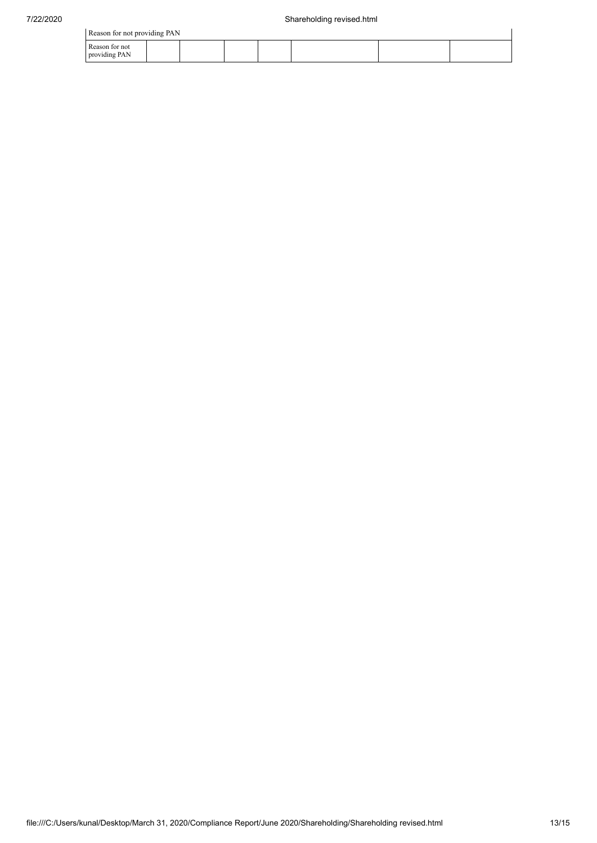|  | Reason for not providing PAN |  |
|--|------------------------------|--|

| Reason for not providing PAN    |  |  |  |  |  |  |  |  |  |
|---------------------------------|--|--|--|--|--|--|--|--|--|
| Reason for not<br>providing PAN |  |  |  |  |  |  |  |  |  |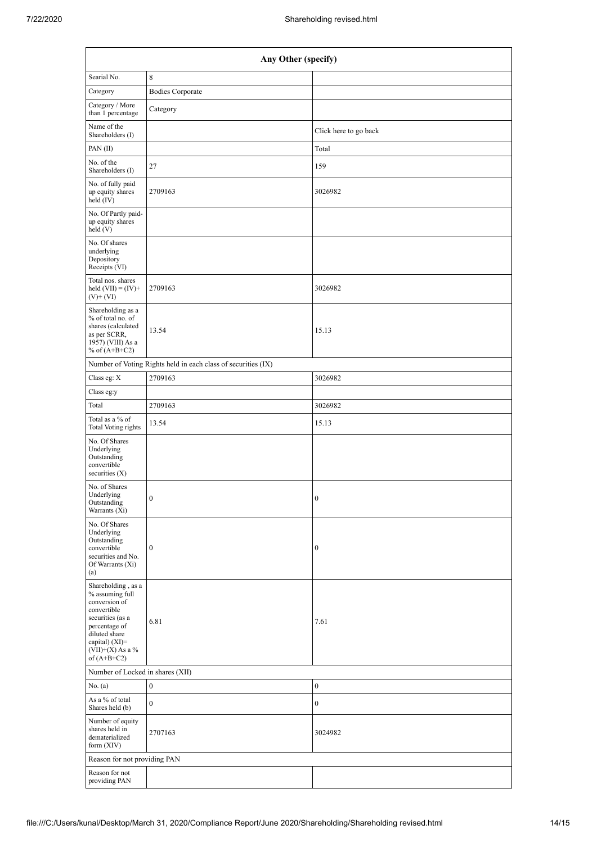| Any Other (specify)                                                                                                                                                                  |                                                               |                       |  |  |  |  |  |  |  |
|--------------------------------------------------------------------------------------------------------------------------------------------------------------------------------------|---------------------------------------------------------------|-----------------------|--|--|--|--|--|--|--|
| Searial No.                                                                                                                                                                          | $\,8\,$                                                       |                       |  |  |  |  |  |  |  |
| Category                                                                                                                                                                             | <b>Bodies Corporate</b>                                       |                       |  |  |  |  |  |  |  |
| Category / More<br>than 1 percentage                                                                                                                                                 | Category                                                      |                       |  |  |  |  |  |  |  |
| Name of the<br>Shareholders (I)                                                                                                                                                      |                                                               | Click here to go back |  |  |  |  |  |  |  |
| PAN(II)                                                                                                                                                                              |                                                               | Total                 |  |  |  |  |  |  |  |
| No. of the<br>Shareholders (I)                                                                                                                                                       | 27                                                            | 159                   |  |  |  |  |  |  |  |
| No. of fully paid<br>up equity shares<br>held (IV)                                                                                                                                   | 2709163                                                       | 3026982               |  |  |  |  |  |  |  |
| No. Of Partly paid-<br>up equity shares<br>held(V)                                                                                                                                   |                                                               |                       |  |  |  |  |  |  |  |
| No. Of shares<br>underlying<br>Depository<br>Receipts (VI)                                                                                                                           |                                                               |                       |  |  |  |  |  |  |  |
| Total nos. shares<br>held $(VII) = (IV) +$<br>$(V)$ + $(VI)$                                                                                                                         | 2709163                                                       | 3026982               |  |  |  |  |  |  |  |
| Shareholding as a<br>% of total no. of<br>shares (calculated<br>as per SCRR,<br>1957) (VIII) As a<br>% of $(A+B+C2)$                                                                 | 13.54                                                         | 15.13                 |  |  |  |  |  |  |  |
|                                                                                                                                                                                      | Number of Voting Rights held in each class of securities (IX) |                       |  |  |  |  |  |  |  |
| Class eg: X                                                                                                                                                                          | 2709163                                                       | 3026982               |  |  |  |  |  |  |  |
| Class eg:y                                                                                                                                                                           |                                                               |                       |  |  |  |  |  |  |  |
| Total                                                                                                                                                                                | 2709163                                                       | 3026982               |  |  |  |  |  |  |  |
| Total as a % of<br><b>Total Voting rights</b>                                                                                                                                        | 13.54                                                         | 15.13                 |  |  |  |  |  |  |  |
| No. Of Shares<br>Underlying<br>Outstanding<br>convertible<br>securities $(X)$                                                                                                        |                                                               |                       |  |  |  |  |  |  |  |
| No. of Shares<br>Underlying<br>Outstanding<br>Warrants (Xi)                                                                                                                          | $\mathbf{0}$                                                  | $\mathbf{0}$          |  |  |  |  |  |  |  |
| No. Of Shares<br>Underlying<br>Outstanding<br>convertible<br>securities and No.<br>Of Warrants (Xi)<br>(a)                                                                           | $\bf{0}$                                                      | $\boldsymbol{0}$      |  |  |  |  |  |  |  |
| Shareholding, as a<br>% assuming full<br>conversion of<br>convertible<br>securities (as a<br>percentage of<br>diluted share<br>capital) (XI)=<br>$(VII)+(X)$ As a %<br>of $(A+B+C2)$ | 6.81                                                          | 7.61                  |  |  |  |  |  |  |  |
| Number of Locked in shares (XII)                                                                                                                                                     |                                                               |                       |  |  |  |  |  |  |  |
| No. (a)                                                                                                                                                                              | $\boldsymbol{0}$                                              | $\boldsymbol{0}$      |  |  |  |  |  |  |  |
| As a % of total<br>Shares held (b)                                                                                                                                                   | $\boldsymbol{0}$                                              | $\boldsymbol{0}$      |  |  |  |  |  |  |  |
| Number of equity<br>shares held in<br>dematerialized<br>form (XIV)                                                                                                                   | 2707163                                                       | 3024982               |  |  |  |  |  |  |  |
| Reason for not providing PAN                                                                                                                                                         |                                                               |                       |  |  |  |  |  |  |  |
| Reason for not<br>providing PAN                                                                                                                                                      |                                                               |                       |  |  |  |  |  |  |  |